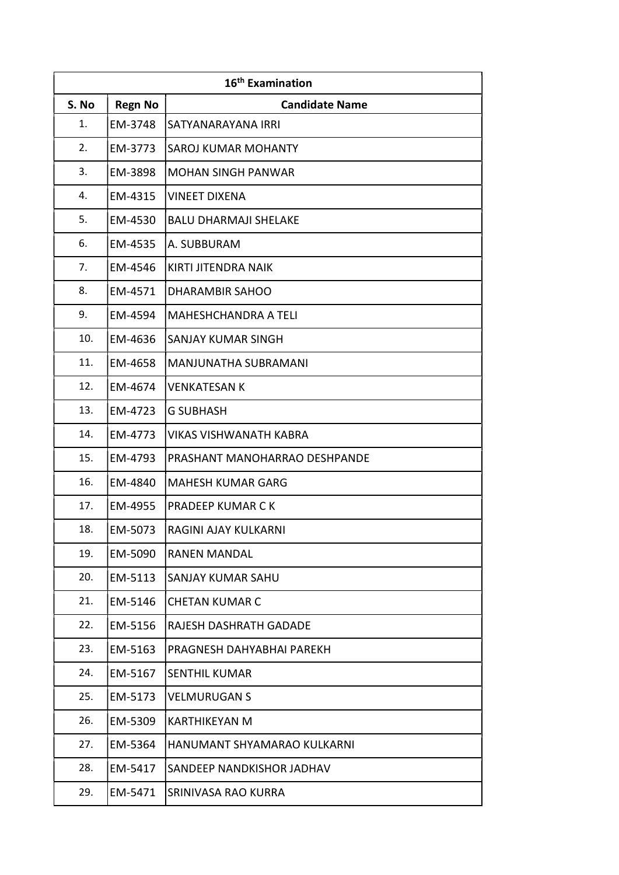| 16 <sup>th</sup> Examination |                |                               |
|------------------------------|----------------|-------------------------------|
| S. No                        | <b>Regn No</b> | <b>Candidate Name</b>         |
| 1.                           | EM-3748        | SATYANARAYANA IRRI            |
| 2.                           | EM-3773        | <b>SAROJ KUMAR MOHANTY</b>    |
| 3.                           | EM-3898        | <b>MOHAN SINGH PANWAR</b>     |
| 4.                           | EM-4315        | <b>VINEET DIXENA</b>          |
| 5.                           | EM-4530        | <b>BALU DHARMAJI SHELAKE</b>  |
| 6.                           | EM-4535        | A. SUBBURAM                   |
| 7.                           | EM-4546        | <b>KIRTI JITENDRA NAIK</b>    |
| 8.                           | EM-4571        | <b>DHARAMBIR SAHOO</b>        |
| 9.                           | EM-4594        | MAHESHCHANDRA A TELI          |
| 10.                          | EM-4636        | <b>SANJAY KUMAR SINGH</b>     |
| 11.                          | EM-4658        | <b>MANJUNATHA SUBRAMANI</b>   |
| 12.                          | EM-4674        | <b>VENKATESAN K</b>           |
| 13.                          | EM-4723        | <b>G SUBHASH</b>              |
| 14.                          | EM-4773        | <b>VIKAS VISHWANATH KABRA</b> |
| 15.                          | EM-4793        | PRASHANT MANOHARRAO DESHPANDE |
| 16.                          | EM-4840        | <b>MAHESH KUMAR GARG</b>      |
| 17.                          | EM-4955        | <b>PRADEEP KUMAR CK</b>       |
| 18.                          | EM-5073        | <b>RAGINI AJAY KULKARNI</b>   |
| 19.                          | EM-5090        | <b>RANEN MANDAL</b>           |
| 20.                          | EM-5113        | <b>SANJAY KUMAR SAHU</b>      |
| 21.                          | EM-5146        | <b>CHETAN KUMAR C</b>         |
| 22.                          | EM-5156        | RAJESH DASHRATH GADADE        |
| 23.                          | EM-5163        | PRAGNESH DAHYABHAI PAREKH     |
| 24.                          | EM-5167        | <b>SENTHIL KUMAR</b>          |
| 25.                          | EM-5173        | <b>VELMURUGAN S</b>           |
| 26.                          | EM-5309        | <b>KARTHIKEYAN M</b>          |
| 27.                          | EM-5364        | HANUMANT SHYAMARAO KULKARNI   |
| 28.                          | EM-5417        | SANDEEP NANDKISHOR JADHAV     |
| 29.                          | EM-5471        | SRINIVASA RAO KURRA           |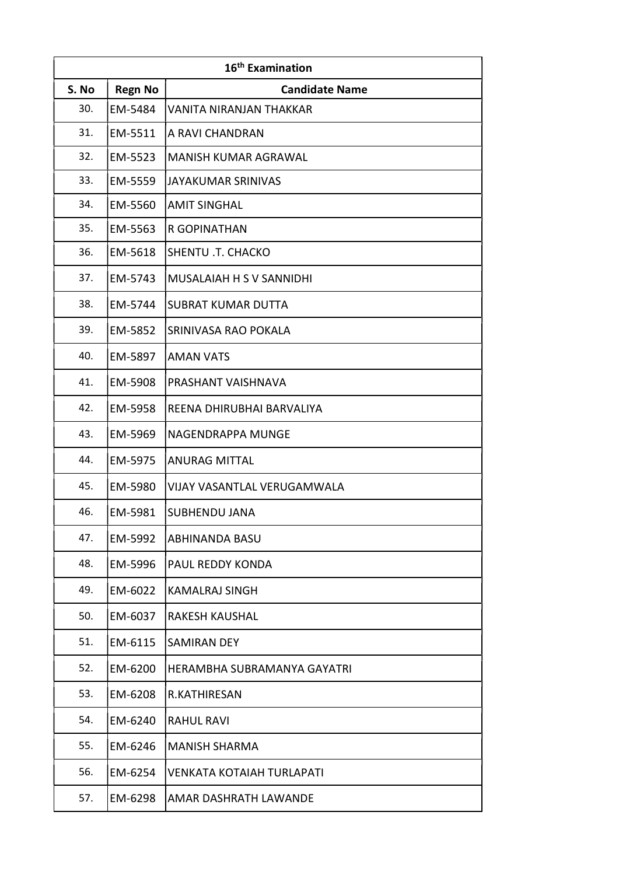| 16 <sup>th</sup> Examination |                |                                 |
|------------------------------|----------------|---------------------------------|
| S. No                        | <b>Regn No</b> | <b>Candidate Name</b>           |
| 30.                          | EM-5484        | <b>VANITA NIRANJAN THAKKAR</b>  |
| 31.                          | EM-5511        | A RAVI CHANDRAN                 |
| 32.                          | EM-5523        | <b>MANISH KUMAR AGRAWAL</b>     |
| 33.                          | EM-5559        | <b>JAYAKUMAR SRINIVAS</b>       |
| 34.                          | EM-5560        | <b>AMIT SINGHAL</b>             |
| 35.                          | EM-5563        | R GOPINATHAN                    |
| 36.                          | EM-5618        | SHENTU .T. CHACKO               |
| 37.                          | EM-5743        | <b>MUSALAIAH H S V SANNIDHI</b> |
| 38.                          | EM-5744        | <b>SUBRAT KUMAR DUTTA</b>       |
| 39.                          | EM-5852        | SRINIVASA RAO POKALA            |
| 40.                          | EM-5897        | <b>AMAN VATS</b>                |
| 41.                          | EM-5908        | PRASHANT VAISHNAVA              |
| 42.                          | EM-5958        | REENA DHIRUBHAI BARVALIYA       |
| 43.                          | EM-5969        | NAGENDRAPPA MUNGE               |
| 44.                          | EM-5975        | <b>ANURAG MITTAL</b>            |
| 45.                          | EM-5980        | VIJAY VASANTLAL VERUGAMWALA     |
| 46.                          | EM-5981        | SUBHENDU JANA                   |
| 47.                          | EM-5992        | ABHINANDA BASU                  |
| 48.                          | EM-5996        | PAUL REDDY KONDA                |
| 49.                          | EM-6022        | <b>KAMALRAJ SINGH</b>           |
| 50.                          | EM-6037        | RAKESH KAUSHAL                  |
| 51.                          | EM-6115        | <b>SAMIRAN DEY</b>              |
| 52.                          | EM-6200        | HERAMBHA SUBRAMANYA GAYATRI     |
| 53.                          | EM-6208        | R.KATHIRESAN                    |
| 54.                          | EM-6240        | <b>RAHUL RAVI</b>               |
| 55.                          | EM-6246        | <b>MANISH SHARMA</b>            |
| 56.                          | EM-6254        | VENKATA KOTAIAH TURLAPATI       |
| 57.                          | EM-6298        | AMAR DASHRATH LAWANDE           |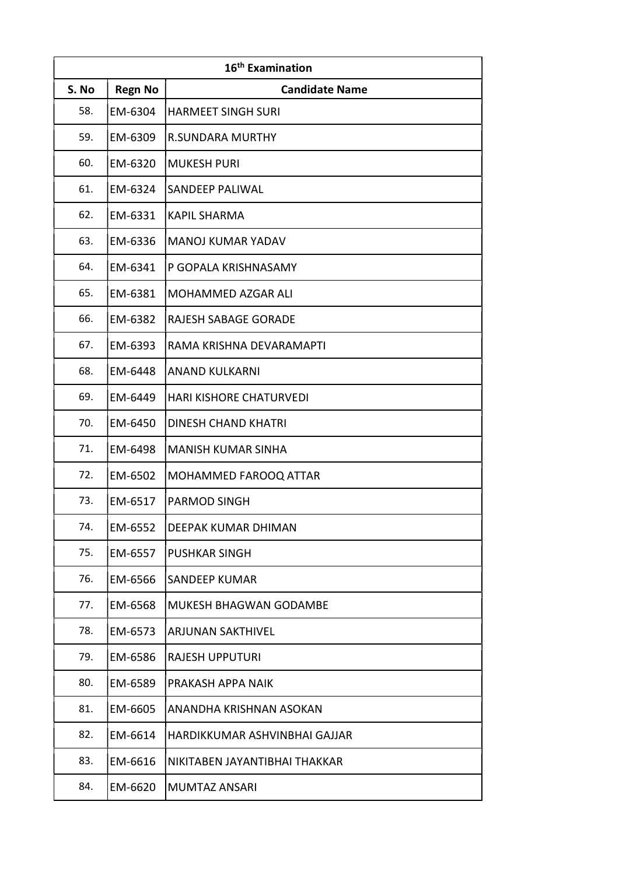| 16 <sup>th</sup> Examination |                |                                |
|------------------------------|----------------|--------------------------------|
| S. No                        | <b>Regn No</b> | <b>Candidate Name</b>          |
| 58.                          | EM-6304        | <b>HARMEET SINGH SURI</b>      |
| 59.                          | EM-6309        | <b>R.SUNDARA MURTHY</b>        |
| 60.                          | EM-6320        | <b>MUKESH PURI</b>             |
| 61.                          | EM-6324        | <b>SANDEEP PALIWAL</b>         |
| 62.                          | EM-6331        | <b>KAPIL SHARMA</b>            |
| 63.                          | EM-6336        | <b>MANOJ KUMAR YADAV</b>       |
| 64.                          | EM-6341        | P GOPALA KRISHNASAMY           |
| 65.                          | EM-6381        | <b>MOHAMMED AZGAR ALI</b>      |
| 66.                          | EM-6382        | RAJESH SABAGE GORADE           |
| 67.                          | EM-6393        | RAMA KRISHNA DEVARAMAPTI       |
| 68.                          | EM-6448        | <b>ANAND KULKARNI</b>          |
| 69.                          | EM-6449        | <b>HARI KISHORE CHATURVEDI</b> |
| 70.                          | EM-6450        | <b>DINESH CHAND KHATRI</b>     |
| 71.                          | EM-6498        | <b>MANISH KUMAR SINHA</b>      |
| 72.                          | EM-6502        | MOHAMMED FAROOQ ATTAR          |
| 73.                          | EM-6517        | <b>PARMOD SINGH</b>            |
| 74.                          | EM-6552        | DEEPAK KUMAR DHIMAN            |
| 75.                          | EM-6557        | <b>PUSHKAR SINGH</b>           |
| 76.                          | EM-6566        | <b>SANDEEP KUMAR</b>           |
| 77.                          | EM-6568        | MUKESH BHAGWAN GODAMBE         |
| 78.                          | EM-6573        | <b>ARJUNAN SAKTHIVEL</b>       |
| 79.                          | EM-6586        | RAJESH UPPUTURI                |
| 80.                          | EM-6589        | PRAKASH APPA NAIK              |
| 81.                          | EM-6605        | ANANDHA KRISHNAN ASOKAN        |
| 82.                          | EM-6614        | HARDIKKUMAR ASHVINBHAI GAJJAR  |
| 83.                          | EM-6616        | NIKITABEN JAYANTIBHAI THAKKAR  |
| 84.                          | EM-6620        | <b>MUMTAZ ANSARI</b>           |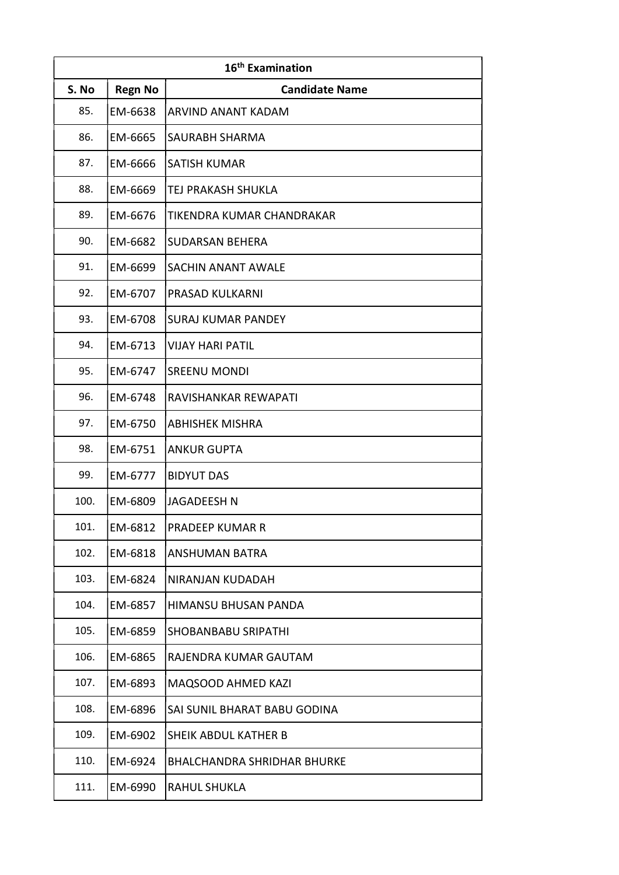| 16 <sup>th</sup> Examination |                |                                    |
|------------------------------|----------------|------------------------------------|
| S. No                        | <b>Regn No</b> | <b>Candidate Name</b>              |
| 85.                          | EM-6638        | ARVIND ANANT KADAM                 |
| 86.                          | EM-6665        | <b>SAURABH SHARMA</b>              |
| 87.                          | EM-6666        | <b>SATISH KUMAR</b>                |
| 88.                          | EM-6669        | TEJ PRAKASH SHUKLA                 |
| 89.                          | EM-6676        | TIKENDRA KUMAR CHANDRAKAR          |
| 90.                          | EM-6682        | <b>SUDARSAN BEHERA</b>             |
| 91.                          | EM-6699        | SACHIN ANANT AWALE                 |
| 92.                          | EM-6707        | PRASAD KULKARNI                    |
| 93.                          | EM-6708        | <b>SURAJ KUMAR PANDEY</b>          |
| 94.                          | EM-6713        | <b>VIJAY HARI PATIL</b>            |
| 95.                          | EM-6747        | <b>SREENU MONDI</b>                |
| 96.                          | EM-6748        | RAVISHANKAR REWAPATI               |
| 97.                          | EM-6750        | <b>ABHISHEK MISHRA</b>             |
| 98.                          | EM-6751        | <b>ANKUR GUPTA</b>                 |
| 99.                          | EM-6777        | <b>BIDYUT DAS</b>                  |
| 100.                         | EM-6809        | <b>JAGADEESH N</b>                 |
| 101.                         | EM-6812        | <b>PRADEEP KUMAR R</b>             |
| 102.                         | EM-6818        | <b>ANSHUMAN BATRA</b>              |
| 103.                         | EM-6824        | NIRANJAN KUDADAH                   |
| 104.                         | EM-6857        | HIMANSU BHUSAN PANDA               |
| 105.                         | EM-6859        | <b>SHOBANBABU SRIPATHI</b>         |
| 106.                         | EM-6865        | RAJENDRA KUMAR GAUTAM              |
| 107.                         | EM-6893        | MAQSOOD AHMED KAZI                 |
| 108.                         | EM-6896        | SAI SUNIL BHARAT BABU GODINA       |
| 109.                         | EM-6902        | SHEIK ABDUL KATHER B               |
| 110.                         | EM-6924        | <b>BHALCHANDRA SHRIDHAR BHURKE</b> |
| 111.                         | EM-6990        | <b>RAHUL SHUKLA</b>                |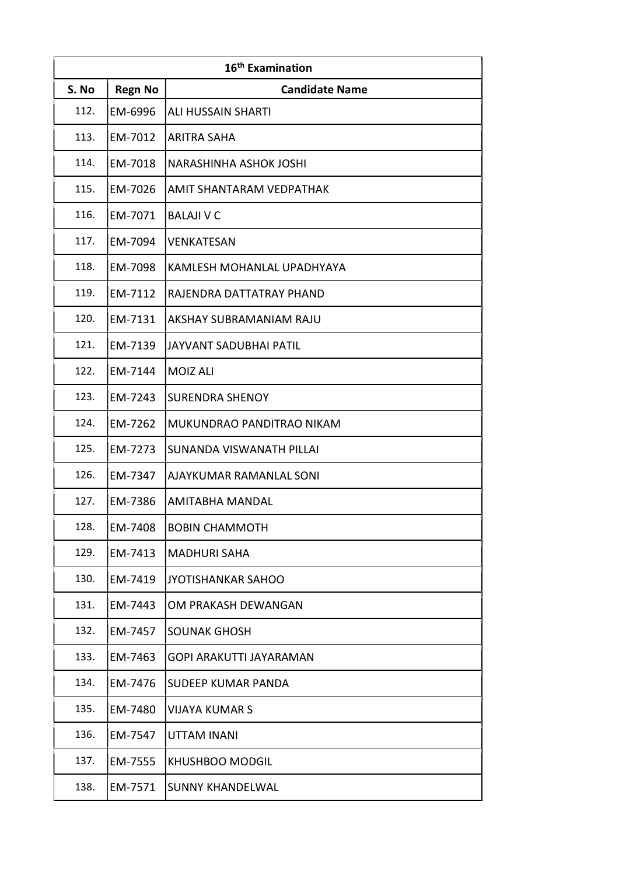| 16 <sup>th</sup> Examination |                |                                |
|------------------------------|----------------|--------------------------------|
| S. No                        | <b>Regn No</b> | <b>Candidate Name</b>          |
| 112.                         | EM-6996        | <b>ALI HUSSAIN SHARTI</b>      |
| 113.                         | EM-7012        | <b>ARITRA SAHA</b>             |
| 114.                         | EM-7018        | NARASHINHA ASHOK JOSHI         |
| 115.                         | EM-7026        | AMIT SHANTARAM VEDPATHAK       |
| 116.                         | EM-7071        | <b>BALAJI V C</b>              |
| 117.                         | EM-7094        | VENKATESAN                     |
| 118.                         | EM-7098        | KAMLESH MOHANLAL UPADHYAYA     |
| 119.                         | EM-7112        | RAJENDRA DATTATRAY PHAND       |
| 120.                         | EM-7131        | AKSHAY SUBRAMANIAM RAJU        |
| 121.                         | EM-7139        | JAYVANT SADUBHAI PATIL         |
| 122.                         | EM-7144        | <b>MOIZ ALI</b>                |
| 123.                         | EM-7243        | <b>SURENDRA SHENOY</b>         |
| 124.                         | EM-7262        | MUKUNDRAO PANDITRAO NIKAM      |
| 125.                         | EM-7273        | SUNANDA VISWANATH PILLAI       |
| 126.                         | EM-7347        | AJAYKUMAR RAMANLAL SONI        |
| 127.                         | EM-7386        | <b>AMITABHA MANDAL</b>         |
| 128.                         | EM-7408        | <b>BOBIN CHAMMOTH</b>          |
| 129.                         | EM-7413        | <b>MADHURI SAHA</b>            |
| 130.                         | EM-7419        | <b>JYOTISHANKAR SAHOO</b>      |
| 131.                         | EM-7443        | OM PRAKASH DEWANGAN            |
| 132.                         | EM-7457        | <b>SOUNAK GHOSH</b>            |
| 133.                         | EM-7463        | <b>GOPI ARAKUTTI JAYARAMAN</b> |
| 134.                         | EM-7476        | SUDEEP KUMAR PANDA             |
| 135.                         | EM-7480        | <b>VIJAYA KUMAR S</b>          |
| 136.                         | EM-7547        | <b>UTTAM INANI</b>             |
| 137.                         | EM-7555        | <b>KHUSHBOO MODGIL</b>         |
| 138.                         | EM-7571        | <b>SUNNY KHANDELWAL</b>        |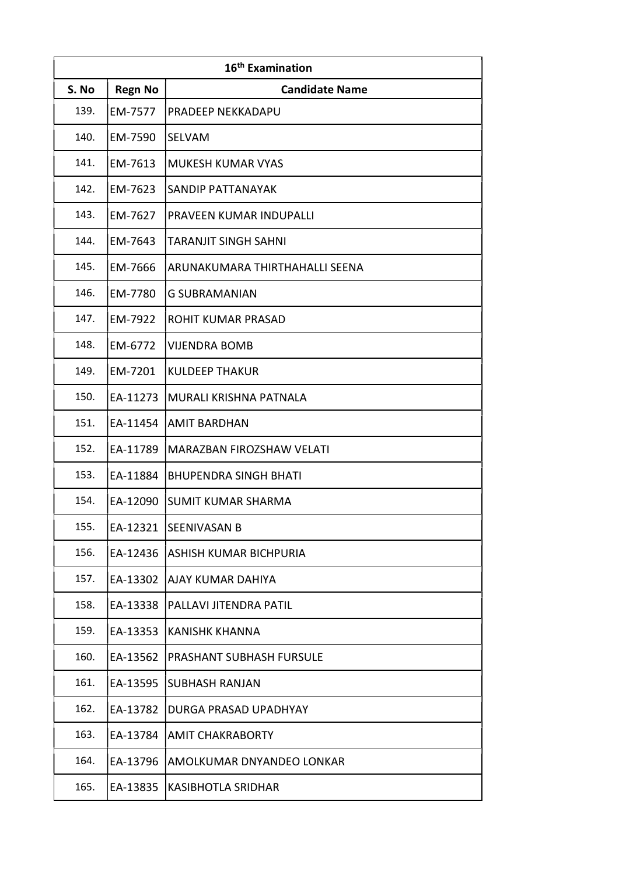| 16 <sup>th</sup> Examination |                |                                |
|------------------------------|----------------|--------------------------------|
| S. No                        | <b>Regn No</b> | <b>Candidate Name</b>          |
| 139.                         | EM-7577        | PRADEEP NEKKADAPU              |
| 140.                         | EM-7590        | SELVAM                         |
| 141.                         | EM-7613        | <b>MUKESH KUMAR VYAS</b>       |
| 142.                         | EM-7623        | SANDIP PATTANAYAK              |
| 143.                         | EM-7627        | PRAVEEN KUMAR INDUPALLI        |
| 144.                         | EM-7643        | <b>TARANJIT SINGH SAHNI</b>    |
| 145.                         | EM-7666        | ARUNAKUMARA THIRTHAHALLI SEENA |
| 146.                         | EM-7780        | <b>G SUBRAMANIAN</b>           |
| 147.                         | EM-7922        | ROHIT KUMAR PRASAD             |
| 148.                         | EM-6772        | <b>VIJENDRA BOMB</b>           |
| 149.                         | EM-7201        | <b>KULDEEP THAKUR</b>          |
| 150.                         | EA-11273       | MURALI KRISHNA PATNALA         |
| 151.                         | EA-11454       | AMIT BARDHAN                   |
| 152.                         | EA-11789       | MARAZBAN FIROZSHAW VELATI      |
| 153.                         | EA-11884       | <b>BHUPENDRA SINGH BHATI</b>   |
| 154.                         | EA-12090       | SUMIT KUMAR SHARMA             |
| 155.                         | EA-12321       | SEENIVASAN B                   |
| 156.                         | EA-12436       | IASHISH KUMAR BICHPURIA        |
| 157.                         | EA-13302       | lajay kumar dahiya             |
| 158.                         | EA-13338       | PALLAVI JITENDRA PATIL         |
| 159.                         | EA-13353       | <b>KANISHK KHANNA</b>          |
| 160.                         | EA-13562       | PRASHANT SUBHASH FURSULE       |
| 161.                         | EA-13595       | SUBHASH RANJAN                 |
| 162.                         | EA-13782       | DURGA PRASAD UPADHYAY          |
| 163.                         | EA-13784       | <b>AMIT CHAKRABORTY</b>        |
| 164.                         | EA-13796       | AMOLKUMAR DNYANDEO LONKAR      |
| 165.                         | EA-13835       | <b>KASIBHOTLA SRIDHAR</b>      |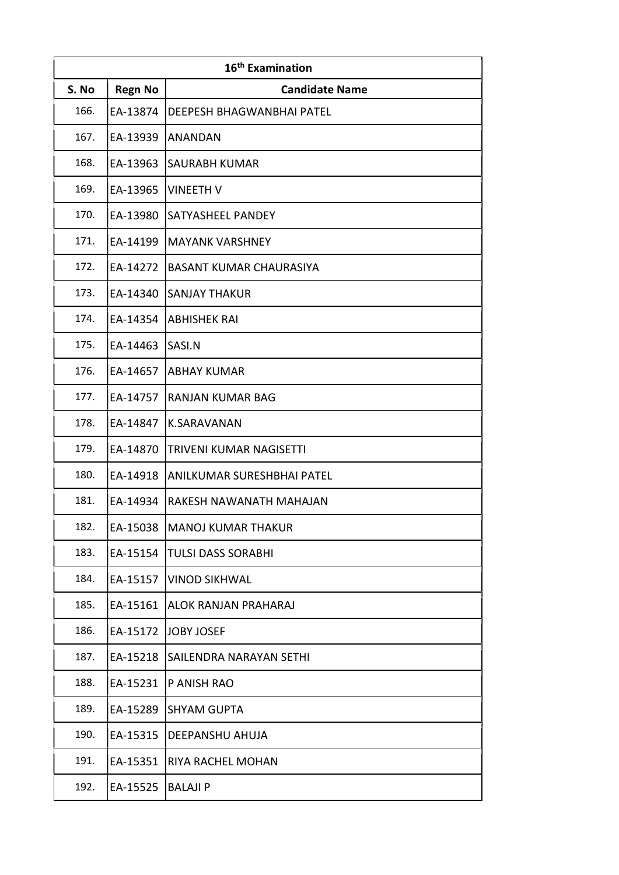| 16 <sup>th</sup> Examination |                |                                |
|------------------------------|----------------|--------------------------------|
| S. No                        | <b>Regn No</b> | <b>Candidate Name</b>          |
| 166.                         | EA-13874       | DEEPESH BHAGWANBHAI PATEL      |
| 167.                         | EA-13939       | <b>ANANDAN</b>                 |
| 168.                         | EA-13963       | SAURABH KUMAR                  |
| 169.                         | EA-13965       | <b>VINEETH V</b>               |
| 170.                         | EA-13980       | SATYASHEEL PANDEY              |
| 171.                         | EA-14199       | <b>MAYANK VARSHNEY</b>         |
| 172.                         | EA-14272       | <b>BASANT KUMAR CHAURASIYA</b> |
| 173.                         | EA-14340       | <b>SANJAY THAKUR</b>           |
| 174.                         | EA-14354       | <b>ABHISHEK RAI</b>            |
| 175.                         | EA-14463       | SASI.N                         |
| 176.                         | EA-14657       | <b>ABHAY KUMAR</b>             |
| 177.                         | EA-14757       | <b>RANJAN KUMAR BAG</b>        |
| 178.                         | EA-14847       | <b>K.SARAVANAN</b>             |
| 179.                         | EA-14870       | TRIVENI KUMAR NAGISETTI        |
| 180.                         | EA-14918       | ANILKUMAR SURESHBHAI PATEL     |
| 181.                         | EA-14934       | RAKESH NAWANATH MAHAJAN        |
| 182.                         | EA-15038       | <b>MANOJ KUMAR THAKUR</b>      |
| 183.                         | EA-15154       | <b>TULSI DASS SORABHI</b>      |
| 184.                         | EA-15157       | <b>VINOD SIKHWAL</b>           |
| 185.                         | EA-15161       | ALOK RANJAN PRAHARAJ           |
| 186.                         | EA-15172       | JOBY JOSEF                     |
| 187.                         | EA-15218       | SAILENDRA NARAYAN SETHI        |
| 188.                         | EA-15231       | P ANISH RAO                    |
| 189.                         | EA-15289       | <b>SHYAM GUPTA</b>             |
| 190.                         | EA-15315       | DEEPANSHU AHUJA                |
| 191.                         | EA-15351       | RIYA RACHEL MOHAN              |
| 192.                         | EA-15525       | <b>BALAJI P</b>                |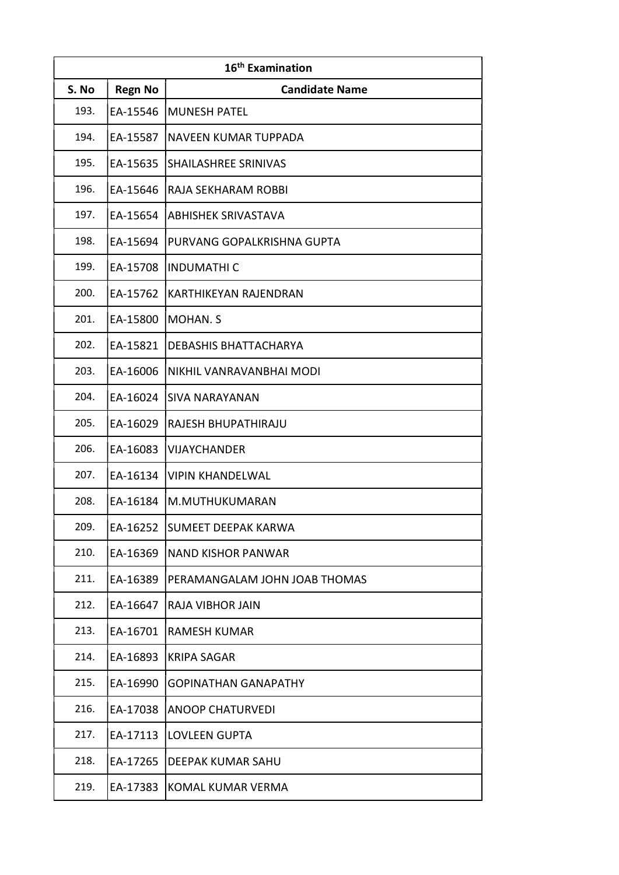| 16 <sup>th</sup> Examination |                |                               |
|------------------------------|----------------|-------------------------------|
| S. No                        | <b>Regn No</b> | <b>Candidate Name</b>         |
| 193.                         | EA-15546       | <b>MUNESH PATEL</b>           |
| 194.                         | EA-15587       | NAVEEN KUMAR TUPPADA          |
| 195.                         | EA-15635       | SHAILASHREE SRINIVAS          |
| 196.                         | EA-15646       | RAJA SEKHARAM ROBBI           |
| 197.                         | EA-15654       | <b>ABHISHEK SRIVASTAVA</b>    |
| 198.                         | EA-15694       | PURVANG GOPALKRISHNA GUPTA    |
| 199.                         | EA-15708       | <b>INDUMATHIC</b>             |
| 200.                         | EA-15762       | KARTHIKEYAN RAJENDRAN         |
| 201.                         | EA-15800       | <b>MOHAN. S</b>               |
| 202.                         | EA-15821       | <b>DEBASHIS BHATTACHARYA</b>  |
| 203.                         | EA-16006       | NIKHIL VANRAVANBHAI MODI      |
| 204.                         | EA-16024       | <b>SIVA NARAYANAN</b>         |
| 205.                         | EA-16029       | RAJESH BHUPATHIRAJU           |
| 206.                         | EA-16083       | <b>VIJAYCHANDER</b>           |
| 207.                         | EA-16134       | <b>VIPIN KHANDELWAL</b>       |
| 208.                         | EA-16184       | M.MUTHUKUMARAN                |
| 209.                         | EA-16252       | <b>SUMEET DEEPAK KARWA</b>    |
| 210.                         | EA-16369       | <b>NAND KISHOR PANWAR</b>     |
| 211.                         | EA-16389       | PERAMANGALAM JOHN JOAB THOMAS |
| 212.                         | EA-16647       | RAJA VIBHOR JAIN              |
| 213.                         | EA-16701       | <b>RAMESH KUMAR</b>           |
| 214.                         | EA-16893       | <b>KRIPA SAGAR</b>            |
| 215.                         | EA-16990       | <b>GOPINATHAN GANAPATHY</b>   |
| 216.                         | EA-17038       | <b>ANOOP CHATURVEDI</b>       |
| 217.                         | EA-17113       | <b>LOVLEEN GUPTA</b>          |
| 218.                         | EA-17265       | <b>DEEPAK KUMAR SAHU</b>      |
| 219.                         | EA-17383       | KOMAL KUMAR VERMA             |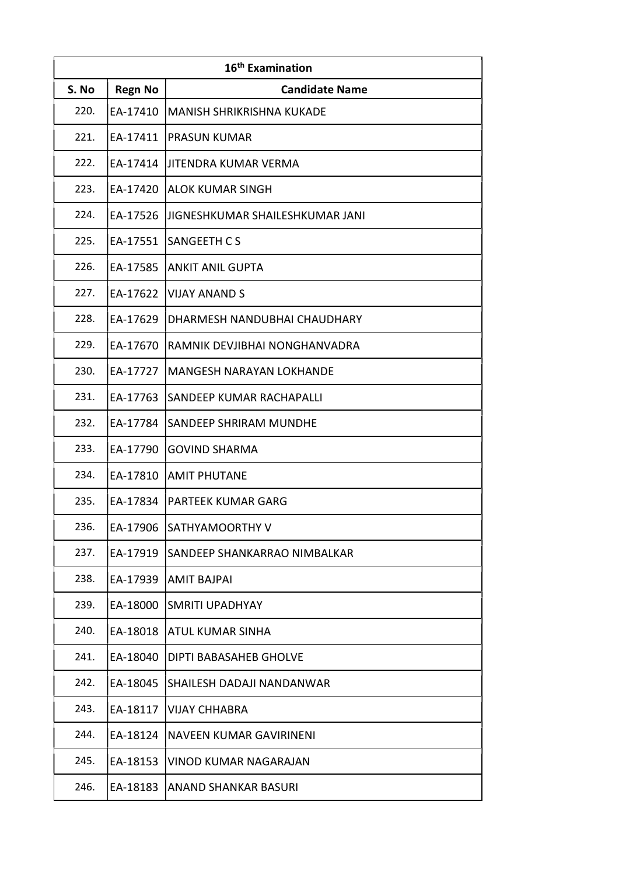| 16 <sup>th</sup> Examination |                |                                  |
|------------------------------|----------------|----------------------------------|
| S. No                        | <b>Regn No</b> | <b>Candidate Name</b>            |
| 220.                         | EA-17410       | <b>MANISH SHRIKRISHNA KUKADE</b> |
| 221.                         | EA-17411       | <b>PRASUN KUMAR</b>              |
| 222.                         | EA-17414       | <b>JITENDRA KUMAR VERMA</b>      |
| 223.                         | EA-17420       | ALOK KUMAR SINGH                 |
| 224.                         | EA-17526       | JIGNESHKUMAR SHAILESHKUMAR JANI  |
| 225.                         | EA-17551       | <b>SANGEETH CS</b>               |
| 226.                         | EA-17585       | <b>ANKIT ANIL GUPTA</b>          |
| 227.                         | EA-17622       | <b>VIJAY ANAND S</b>             |
| 228.                         | EA-17629       | DHARMESH NANDUBHAI CHAUDHARY     |
| 229.                         | EA-17670       | RAMNIK DEVJIBHAI NONGHANVADRA    |
| 230.                         | EA-17727       | <b>MANGESH NARAYAN LOKHANDE</b>  |
| 231.                         | EA-17763       | SANDEEP KUMAR RACHAPALLI         |
| 232.                         | EA-17784       | SANDEEP SHRIRAM MUNDHE           |
| 233.                         | EA-17790       | <b>GOVIND SHARMA</b>             |
| 234.                         | EA-17810       | <b>AMIT PHUTANE</b>              |
| 235.                         | EA-17834       | <b>PARTEEK KUMAR GARG</b>        |
| 236.                         | EA-17906       | SATHYAMOORTHY V                  |
| 237.                         | EA-17919       | SANDEEP SHANKARRAO NIMBALKAR     |
| 238.                         | EA-17939       | <b>AMIT BAJPAI</b>               |
| 239.                         | EA-18000       | SMRITI UPADHYAY                  |
| 240.                         | EA-18018       | ATUL KUMAR SINHA                 |
| 241.                         | EA-18040       | DIPTI BABASAHEB GHOLVE           |
| 242.                         | EA-18045       | SHAILESH DADAJI NANDANWAR        |
| 243.                         | EA-18117       | <b>VIJAY CHHABRA</b>             |
| 244.                         | EA-18124       | NAVEEN KUMAR GAVIRINENI          |
| 245.                         | EA-18153       | <b>VINOD KUMAR NAGARAJAN</b>     |
| 246.                         | EA-18183       | <b>ANAND SHANKAR BASURI</b>      |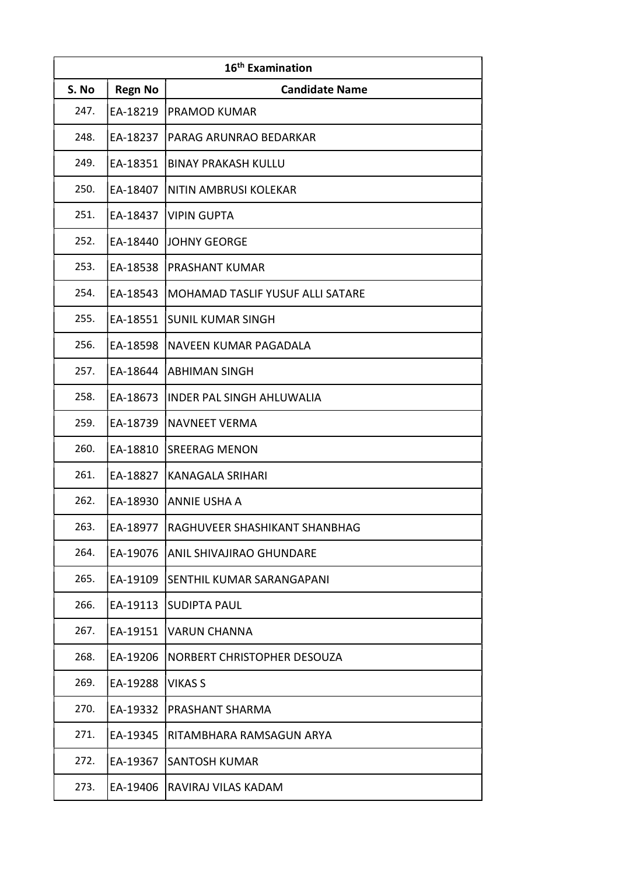| 16 <sup>th</sup> Examination |                |                                  |
|------------------------------|----------------|----------------------------------|
| S. No                        | <b>Regn No</b> | <b>Candidate Name</b>            |
| 247.                         | EA-18219       | <b>PRAMOD KUMAR</b>              |
| 248.                         | EA-18237       | PARAG ARUNRAO BEDARKAR           |
| 249.                         | EA-18351       | <b>BINAY PRAKASH KULLU</b>       |
| 250.                         | EA-18407       | NITIN AMBRUSI KOLEKAR            |
| 251.                         | EA-18437       | <b>VIPIN GUPTA</b>               |
| 252.                         | EA-18440       | <b>JOHNY GEORGE</b>              |
| 253.                         | EA-18538       | <b>PRASHANT KUMAR</b>            |
| 254.                         | EA-18543       | MOHAMAD TASLIF YUSUF ALLI SATARE |
| 255.                         | EA-18551       | <b>SUNIL KUMAR SINGH</b>         |
| 256.                         | EA-18598       | NAVEEN KUMAR PAGADALA            |
| 257.                         | EA-18644       | <b>ABHIMAN SINGH</b>             |
| 258.                         | EA-18673       | <b>INDER PAL SINGH AHLUWALIA</b> |
| 259.                         | EA-18739       | <b>NAVNEET VERMA</b>             |
| 260.                         | EA-18810       | <b>SREERAG MENON</b>             |
| 261.                         | EA-18827       | <b>KANAGALA SRIHARI</b>          |
| 262.                         | EA-18930       | <b>ANNIE USHA A</b>              |
| 263.                         | EA-18977       | RAGHUVEER SHASHIKANT SHANBHAG    |
| 264.                         | EA-19076       | <b>ANIL SHIVAJIRAO GHUNDARE</b>  |
| 265.                         | EA-19109       | SENTHIL KUMAR SARANGAPANI        |
| 266.                         | EA-19113       | <b>SUDIPTA PAUL</b>              |
| 267.                         | EA-19151       | <b>VARUN CHANNA</b>              |
| 268.                         | EA-19206       | NORBERT CHRISTOPHER DESOUZA      |
| 269.                         | EA-19288       | <b>VIKAS S</b>                   |
| 270.                         | EA-19332       | <b>PRASHANT SHARMA</b>           |
| 271.                         | EA-19345       | RITAMBHARA RAMSAGUN ARYA         |
| 272.                         | EA-19367       | <b>SANTOSH KUMAR</b>             |
| 273.                         | EA-19406       | RAVIRAJ VILAS KADAM              |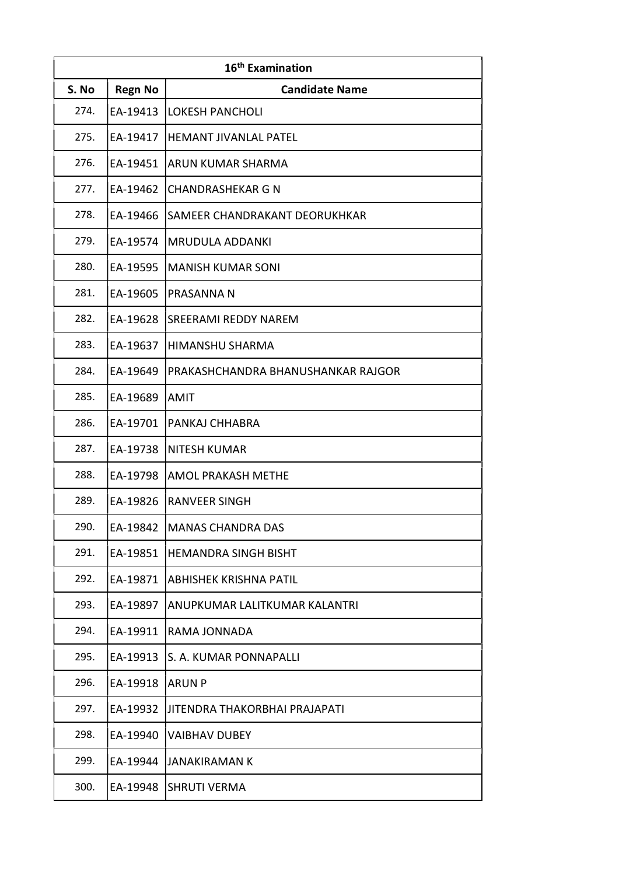| 16 <sup>th</sup> Examination |                |                                    |
|------------------------------|----------------|------------------------------------|
| S. No                        | <b>Regn No</b> | <b>Candidate Name</b>              |
| 274.                         | EA-19413       | <b>LOKESH PANCHOLI</b>             |
| 275.                         | EA-19417       | <b>HEMANT JIVANLAL PATEL</b>       |
| 276.                         | EA-19451       | <b>ARUN KUMAR SHARMA</b>           |
| 277.                         | EA-19462       | <b>CHANDRASHEKAR G N</b>           |
| 278.                         | EA-19466       | SAMEER CHANDRAKANT DEORUKHKAR      |
| 279.                         | EA-19574       | <b>MRUDULA ADDANKI</b>             |
| 280.                         | EA-19595       | <b>MANISH KUMAR SONI</b>           |
| 281.                         | EA-19605       | PRASANNA N                         |
| 282.                         | EA-19628       | <b>SREERAMI REDDY NAREM</b>        |
| 283.                         | EA-19637       | <b>HIMANSHU SHARMA</b>             |
| 284.                         | EA-19649       | PRAKASHCHANDRA BHANUSHANKAR RAJGOR |
| 285.                         | EA-19689       | <b>AMIT</b>                        |
| 286.                         | EA-19701       | <b>PANKAJ CHHABRA</b>              |
| 287.                         | EA-19738       | <b>NITESH KUMAR</b>                |
| 288.                         | EA-19798       | AMOL PRAKASH METHE                 |
| 289.                         | EA-19826       | <b>RANVEER SINGH</b>               |
| 290.                         | EA-19842       | <b>MANAS CHANDRA DAS</b>           |
| 291.                         | EA-19851       | <b>HEMANDRA SINGH BISHT</b>        |
| 292.                         | EA-19871       | <b>ABHISHEK KRISHNA PATIL</b>      |
| 293.                         | EA-19897       | ANUPKUMAR LALITKUMAR KALANTRI      |
| 294.                         | EA-19911       | RAMA JONNADA                       |
| 295.                         | EA-19913       | S. A. KUMAR PONNAPALLI             |
| 296.                         | EA-19918       | <b>ARUN P</b>                      |
| 297.                         | EA-19932       | JITENDRA THAKORBHAI PRAJAPATI      |
| 298.                         | EA-19940       | <b>VAIBHAV DUBEY</b>               |
| 299.                         | EA-19944       | <b>JANAKIRAMAN K</b>               |
| 300.                         | EA-19948       | <b>SHRUTI VERMA</b>                |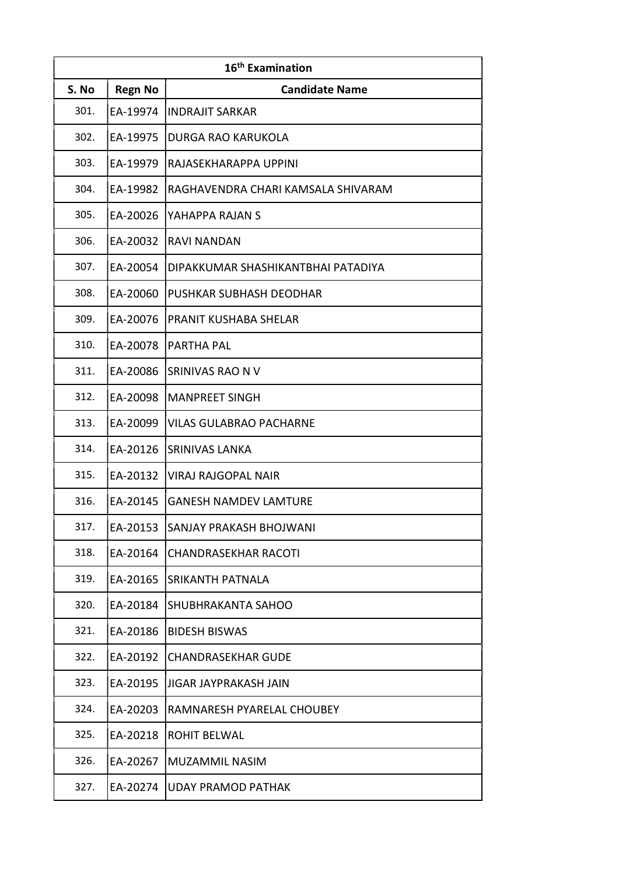| 16 <sup>th</sup> Examination |                |                                    |
|------------------------------|----------------|------------------------------------|
| S. No                        | <b>Regn No</b> | <b>Candidate Name</b>              |
| 301.                         | EA-19974       | <b>INDRAJIT SARKAR</b>             |
| 302.                         | EA-19975       | DURGA RAO KARUKOLA                 |
| 303.                         | EA-19979       | RAJASEKHARAPPA UPPINI              |
| 304.                         | EA-19982       | RAGHAVENDRA CHARI KAMSALA SHIVARAM |
| 305.                         | EA-20026       | YAHAPPA RAJAN S                    |
| 306.                         | EA-20032       | <b>RAVI NANDAN</b>                 |
| 307.                         | EA-20054       | DIPAKKUMAR SHASHIKANTBHAI PATADIYA |
| 308.                         | EA-20060       | PUSHKAR SUBHASH DEODHAR            |
| 309.                         | EA-20076       | PRANIT KUSHABA SHELAR              |
| 310.                         | EA-20078       | <b>PARTHA PAL</b>                  |
| 311.                         | EA-20086       | SRINIVAS RAO N V                   |
| 312.                         | EA-20098       | <b>MANPREET SINGH</b>              |
| 313.                         | EA-20099       | VILAS GULABRAO PACHARNE            |
| 314.                         | EA-20126       | <b>SRINIVAS LANKA</b>              |
| 315.                         | EA-20132       | VIRAJ RAJGOPAL NAIR                |
| 316.                         | EA-20145       | <b> GANESH NAMDEV LAMTURE</b>      |
| 317.                         | EA-20153       | SANJAY PRAKASH BHOJWANI            |
| 318.                         | EA-20164       | <b>CHANDRASEKHAR RACOTI</b>        |
| 319.                         | EA-20165       | SRIKANTH PATNALA                   |
| 320.                         | EA-20184       | SHUBHRAKANTA SAHOO                 |
| 321.                         | EA-20186       | <b>BIDESH BISWAS</b>               |
| 322.                         | EA-20192       | <b>CHANDRASEKHAR GUDE</b>          |
| 323.                         | EA-20195       | JIGAR JAYPRAKASH JAIN              |
| 324.                         | EA-20203       | RAMNARESH PYARELAL CHOUBEY         |
| 325.                         | EA-20218       | <b>ROHIT BELWAL</b>                |
| 326.                         | EA-20267       | MUZAMMIL NASIM                     |
| 327.                         | EA-20274       | <b>UDAY PRAMOD PATHAK</b>          |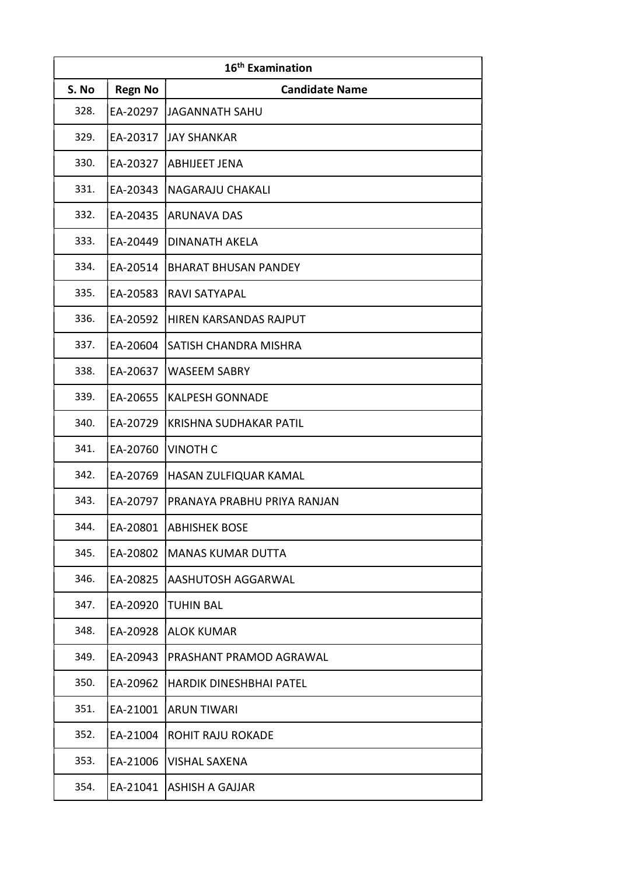| 16 <sup>th</sup> Examination |                |                               |
|------------------------------|----------------|-------------------------------|
| S. No                        | <b>Regn No</b> | <b>Candidate Name</b>         |
| 328.                         | EA-20297       | <b>JAGANNATH SAHU</b>         |
| 329.                         | EA-20317       | <b>JAY SHANKAR</b>            |
| 330.                         | EA-20327       | <b>ABHIJEET JENA</b>          |
| 331.                         | EA-20343       | <b>NAGARAJU CHAKALI</b>       |
| 332.                         | EA-20435       | <b>ARUNAVA DAS</b>            |
| 333.                         | EA-20449       | <b>DINANATH AKELA</b>         |
| 334.                         | EA-20514       | <b>BHARAT BHUSAN PANDEY</b>   |
| 335.                         | EA-20583       | <b>RAVI SATYAPAL</b>          |
| 336.                         | EA-20592       | <b>HIREN KARSANDAS RAJPUT</b> |
| 337.                         | EA-20604       | SATISH CHANDRA MISHRA         |
| 338.                         | EA-20637       | <b>WASEEM SABRY</b>           |
| 339.                         | EA-20655       | <b>KALPESH GONNADE</b>        |
| 340.                         | EA-20729       | <b>KRISHNA SUDHAKAR PATIL</b> |
| 341.                         | EA-20760       | <b>VINOTH C</b>               |
| 342.                         | EA-20769       | HASAN ZULFIQUAR KAMAL         |
| 343.                         | EA-20797       | PRANAYA PRABHU PRIYA RANJAN   |
| 344.                         | EA-20801       | <b>ABHISHEK BOSE</b>          |
| 345.                         | EA-20802       | <b>MANAS KUMAR DUTTA</b>      |
| 346.                         | EA-20825       | AASHUTOSH AGGARWAL            |
| 347.                         | EA-20920       | <b>TUHIN BAL</b>              |
| 348.                         | EA-20928       | <b>ALOK KUMAR</b>             |
| 349.                         | EA-20943       | PRASHANT PRAMOD AGRAWAL       |
| 350.                         | EA-20962       | HARDIK DINESHBHAI PATEL       |
| 351.                         | EA-21001       | <b>ARUN TIWARI</b>            |
| 352.                         | EA-21004       | <b>ROHIT RAJU ROKADE</b>      |
| 353.                         | EA-21006       | <b>VISHAL SAXENA</b>          |
| 354.                         | EA-21041       | <b>ASHISH A GAJJAR</b>        |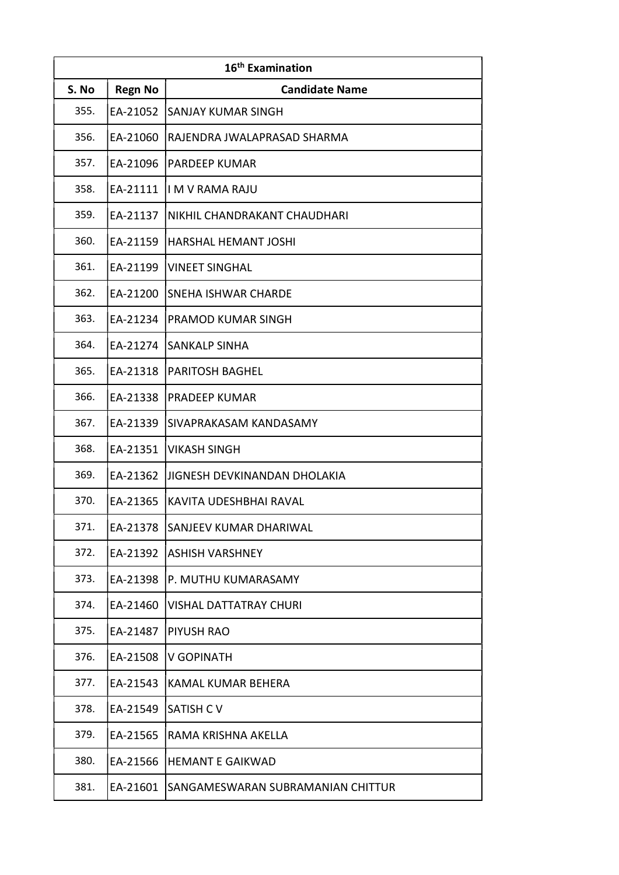| 16 <sup>th</sup> Examination |                |                                   |
|------------------------------|----------------|-----------------------------------|
| S. No                        | <b>Regn No</b> | <b>Candidate Name</b>             |
| 355.                         | EA-21052       | <b>SANJAY KUMAR SINGH</b>         |
| 356.                         | EA-21060       | RAJENDRA JWALAPRASAD SHARMA       |
| 357.                         | EA-21096       | PARDEEP KUMAR                     |
| 358.                         | EA-21111       | li M V RAMA RAJU                  |
| 359.                         | EA-21137       | NIKHIL CHANDRAKANT CHAUDHARI      |
| 360.                         | EA-21159       | HARSHAL HEMANT JOSHI              |
| 361.                         | EA-21199       | <b>VINEET SINGHAL</b>             |
| 362.                         | EA-21200       | SNEHA ISHWAR CHARDE               |
| 363.                         | EA-21234       | PRAMOD KUMAR SINGH                |
| 364.                         | EA-21274       | <b>SANKALP SINHA</b>              |
| 365.                         | EA-21318       | <b>PARITOSH BAGHEL</b>            |
| 366.                         | EA-21338       | <b>PRADEEP KUMAR</b>              |
| 367.                         | EA-21339       | SIVAPRAKASAM KANDASAMY            |
| 368.                         | EA-21351       | <b>VIKASH SINGH</b>               |
| 369.                         | EA-21362       | JIGNESH DEVKINANDAN DHOLAKIA      |
| 370.                         | EA-21365       | KAVITA UDESHBHAI RAVAL            |
| 371.                         | EA-21378       | SANJEEV KUMAR DHARIWAL            |
| 372.                         | EA-21392       | ASHISH VARSHNEY                   |
| 373.                         | EA-21398       | P. MUTHU KUMARASAMY               |
| 374.                         | EA-21460       | <b>VISHAL DATTATRAY CHURI</b>     |
| 375.                         | EA-21487       | PIYUSH RAO                        |
| 376.                         | EA-21508       | <b>V GOPINATH</b>                 |
| 377.                         | EA-21543       | <b>KAMAL KUMAR BEHERA</b>         |
| 378.                         | EA-21549       | <b>SATISH CV</b>                  |
| 379.                         | EA-21565       | RAMA KRISHNA AKELLA               |
| 380.                         | EA-21566       | <b>HEMANT E GAIKWAD</b>           |
| 381.                         | EA-21601       | SANGAMESWARAN SUBRAMANIAN CHITTUR |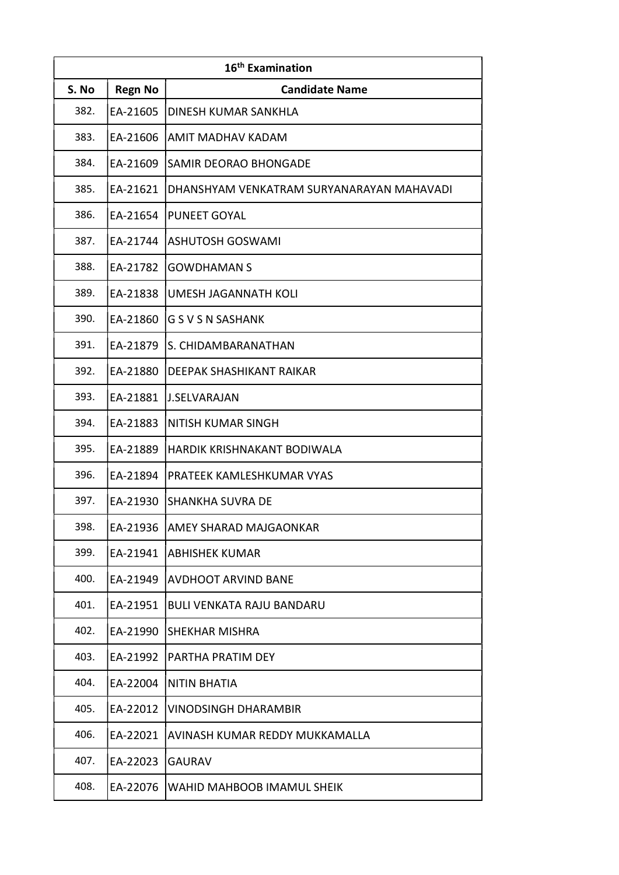| 16 <sup>th</sup> Examination |                |                                           |
|------------------------------|----------------|-------------------------------------------|
| S. No                        | <b>Regn No</b> | <b>Candidate Name</b>                     |
| 382.                         | EA-21605       | DINESH KUMAR SANKHLA                      |
| 383.                         | EA-21606       | AMIT MADHAV KADAM                         |
| 384.                         | EA-21609       | SAMIR DEORAO BHONGADE                     |
| 385.                         | EA-21621       | DHANSHYAM VENKATRAM SURYANARAYAN MAHAVADI |
| 386.                         | EA-21654       | <b>PUNEET GOYAL</b>                       |
| 387.                         | EA-21744       | <b>ASHUTOSH GOSWAMI</b>                   |
| 388.                         | EA-21782       | <b>GOWDHAMAN S</b>                        |
| 389.                         | EA-21838       | <b>UMESH JAGANNATH KOLI</b>               |
| 390.                         | EA-21860       | <b>GSVSNSASHANK</b>                       |
| 391.                         | EA-21879       | S. CHIDAMBARANATHAN                       |
| 392.                         | EA-21880       | DEEPAK SHASHIKANT RAIKAR                  |
| 393.                         | EA-21881       | <b>J.SELVARAJAN</b>                       |
| 394.                         | EA-21883       | NITISH KUMAR SINGH                        |
| 395.                         | EA-21889       | HARDIK KRISHNAKANT BODIWALA               |
| 396.                         | EA-21894       | PRATEEK KAMLESHKUMAR VYAS                 |
| 397.                         | EA-21930       | <b>SHANKHA SUVRA DE</b>                   |
| 398.                         | EA-21936       | AMEY SHARAD MAJGAONKAR                    |
| 399.                         | EA-21941       | <b>ABHISHEK KUMAR</b>                     |
| 400.                         | EA-21949       | <b>AVDHOOT ARVIND BANE</b>                |
| 401.                         | EA-21951       | <b>BULI VENKATA RAJU BANDARU</b>          |
| 402.                         | EA-21990       | SHEKHAR MISHRA                            |
| 403.                         | EA-21992       | PARTHA PRATIM DEY                         |
| 404.                         | EA-22004       | NITIN BHATIA                              |
| 405.                         | EA-22012       | <b>VINODSINGH DHARAMBIR</b>               |
| 406.                         | EA-22021       | AVINASH KUMAR REDDY MUKKAMALLA            |
| 407.                         | EA-22023       | <b>GAURAV</b>                             |
| 408.                         | EA-22076       | WAHID MAHBOOB IMAMUL SHEIK                |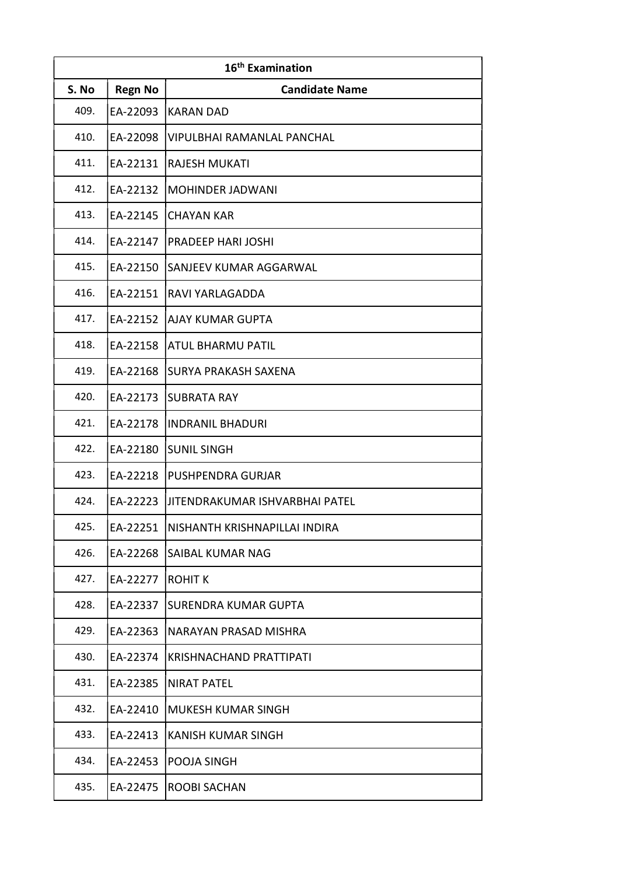| 16 <sup>th</sup> Examination |                |                                |
|------------------------------|----------------|--------------------------------|
| S. No                        | <b>Regn No</b> | <b>Candidate Name</b>          |
| 409.                         | EA-22093       | <b>KARAN DAD</b>               |
| 410.                         | EA-22098       | VIPULBHAI RAMANLAL PANCHAL     |
| 411.                         | EA-22131       | <b>RAJESH MUKATI</b>           |
| 412.                         | EA-22132       | <b>MOHINDER JADWANI</b>        |
| 413.                         | EA-22145       | <b>CHAYAN KAR</b>              |
| 414.                         | EA-22147       | <b>PRADEEP HARI JOSHI</b>      |
| 415.                         | EA-22150       | SANJEEV KUMAR AGGARWAL         |
| 416.                         | EA-22151       | RAVI YARLAGADDA                |
| 417.                         | EA-22152       | <b>AJAY KUMAR GUPTA</b>        |
| 418.                         | EA-22158       | <b>ATUL BHARMU PATIL</b>       |
| 419.                         | EA-22168       | <b>SURYA PRAKASH SAXENA</b>    |
| 420.                         | EA-22173       | <b>SUBRATA RAY</b>             |
| 421.                         | EA-22178       | <b>INDRANIL BHADURI</b>        |
| 422.                         | EA-22180       | <b>SUNIL SINGH</b>             |
| 423.                         | EA-22218       | PUSHPENDRA GURJAR              |
| 424.                         | EA-22223       | JITENDRAKUMAR ISHVARBHAI PATEL |
| 425.                         | EA-22251       | NISHANTH KRISHNAPILLAI INDIRA  |
| 426.                         | EA-22268       | SAIBAL KUMAR NAG               |
| 427.                         | EA-22277       | <b>ROHIT K</b>                 |
| 428.                         | EA-22337       | SURENDRA KUMAR GUPTA           |
| 429.                         | EA-22363       | NARAYAN PRASAD MISHRA          |
| 430.                         | EA-22374       | KRISHNACHAND PRATTIPATI        |
| 431.                         | EA-22385       | <b>NIRAT PATEL</b>             |
| 432.                         | EA-22410       | <b>MUKESH KUMAR SINGH</b>      |
| 433.                         | EA-22413       | <b>KANISH KUMAR SINGH</b>      |
| 434.                         | EA-22453       | POOJA SINGH                    |
| 435.                         | EA-22475       | <b>ROOBI SACHAN</b>            |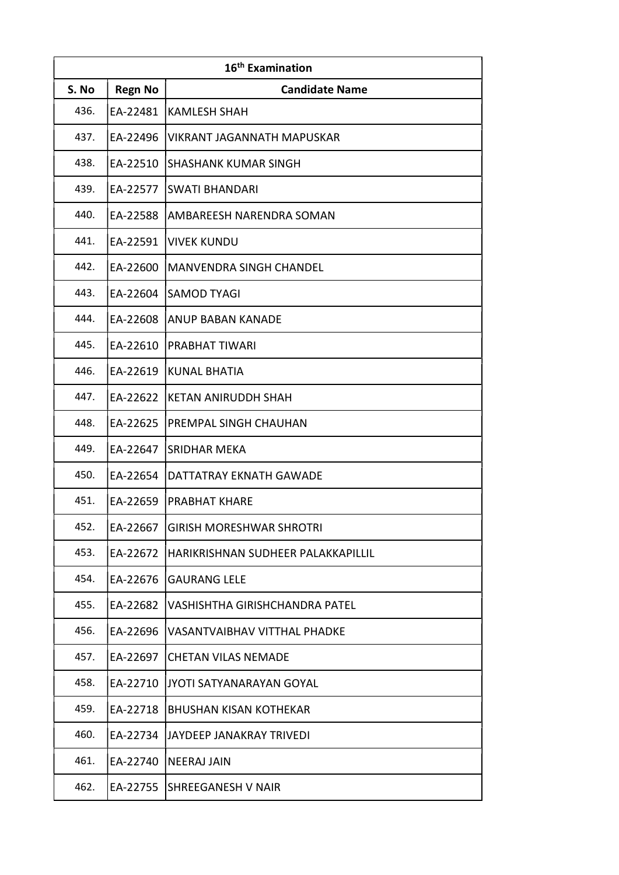| 16 <sup>th</sup> Examination |                |                                    |
|------------------------------|----------------|------------------------------------|
| S. No                        | <b>Regn No</b> | <b>Candidate Name</b>              |
| 436.                         | EA-22481       | <b>KAMLESH SHAH</b>                |
| 437.                         | EA-22496       | VIKRANT JAGANNATH MAPUSKAR         |
| 438.                         | EA-22510       | <b>SHASHANK KUMAR SINGH</b>        |
| 439.                         | EA-22577       | <b>SWATI BHANDARI</b>              |
| 440.                         | EA-22588       | AMBAREESH NARENDRA SOMAN           |
| 441.                         | EA-22591       | <b>VIVEK KUNDU</b>                 |
| 442.                         | EA-22600       | <b>MANVENDRA SINGH CHANDEL</b>     |
| 443.                         | EA-22604       | <b>SAMOD TYAGI</b>                 |
| 444.                         | EA-22608       | ANUP BABAN KANADE                  |
| 445.                         | EA-22610       | <b>PRABHAT TIWARI</b>              |
| 446.                         | EA-22619       | <b>KUNAL BHATIA</b>                |
| 447.                         | EA-22622       | <b>KETAN ANIRUDDH SHAH</b>         |
| 448.                         | EA-22625       | PREMPAL SINGH CHAUHAN              |
| 449.                         | EA-22647       | <b>SRIDHAR MEKA</b>                |
| 450.                         | EA-22654       | DATTATRAY EKNATH GAWADE            |
| 451.                         | EA-22659       | <b>PRABHAT KHARE</b>               |
| 452.                         | EA-22667       | <b>GIRISH MORESHWAR SHROTRI</b>    |
| 453.                         | EA-22672       | HARIKRISHNAN SUDHEER PALAKKAPILLIL |
| 454.                         | EA-22676       | <b>GAURANG LELE</b>                |
| 455.                         | EA-22682       | VASHISHTHA GIRISHCHANDRA PATEL     |
| 456.                         | EA-22696       | VASANTVAIBHAV VITTHAL PHADKE       |
| 457.                         | EA-22697       | <b>CHETAN VILAS NEMADE</b>         |
| 458.                         | EA-22710       | JYOTI SATYANARAYAN GOYAL           |
| 459.                         | EA-22718       | <b>BHUSHAN KISAN KOTHEKAR</b>      |
| 460.                         | EA-22734       | JAYDEEP JANAKRAY TRIVEDI           |
| 461.                         | EA-22740       | <b>NEERAJ JAIN</b>                 |
| 462.                         | EA-22755       | <b>SHREEGANESH V NAIR</b>          |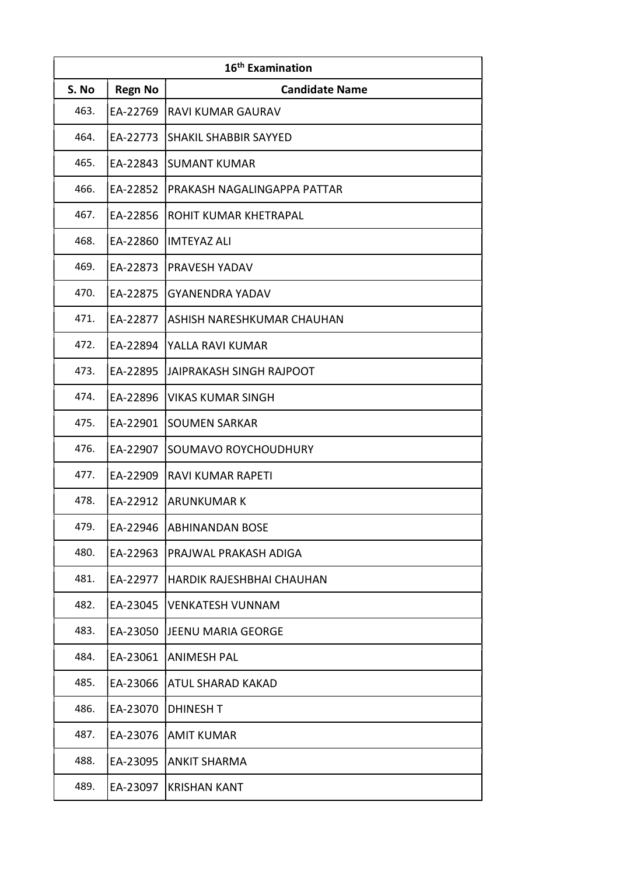| 16 <sup>th</sup> Examination |                |                              |
|------------------------------|----------------|------------------------------|
| S. No                        | <b>Regn No</b> | <b>Candidate Name</b>        |
| 463.                         | EA-22769       | <b>RAVI KUMAR GAURAV</b>     |
| 464.                         | EA-22773       | <b>SHAKIL SHABBIR SAYYED</b> |
| 465.                         | EA-22843       | <b>SUMANT KUMAR</b>          |
| 466.                         | EA-22852       | PRAKASH NAGALINGAPPA PATTAR  |
| 467.                         | EA-22856       | ROHIT KUMAR KHETRAPAL        |
| 468.                         | EA-22860       | lIMTEYAZ ALI                 |
| 469.                         | EA-22873       | <b>PRAVESH YADAV</b>         |
| 470.                         | EA-22875       | <b>GYANENDRA YADAV</b>       |
| 471.                         | EA-22877       | ASHISH NARESHKUMAR CHAUHAN   |
| 472.                         | EA-22894       | YALLA RAVI KUMAR             |
| 473.                         | EA-22895       | IJAIPRAKASH SINGH RAJPOOT    |
| 474.                         | EA-22896       | <b>VIKAS KUMAR SINGH</b>     |
| 475.                         | EA-22901       | <b>SOUMEN SARKAR</b>         |
| 476.                         | EA-22907       | SOUMAVO ROYCHOUDHURY         |
| 477.                         | EA-22909       | <b>RAVI KUMAR RAPETI</b>     |
| 478.                         | EA-22912       | ARUNKUMAR K                  |
| 479.                         | EA-22946       | <b>ABHINANDAN BOSE</b>       |
| 480.                         | EA-22963       | PRAJWAL PRAKASH ADIGA        |
| 481.                         | EA-22977       | HARDIK RAJESHBHAI CHAUHAN    |
| 482.                         | EA-23045       | <b>VENKATESH VUNNAM</b>      |
| 483.                         | EA-23050       | JEENU MARIA GEORGE           |
| 484.                         | EA-23061       | <b>ANIMESH PAL</b>           |
| 485.                         | EA-23066       | ATUL SHARAD KAKAD            |
| 486.                         | EA-23070       | <b>DHINESH T</b>             |
| 487.                         | EA-23076       | <b>AMIT KUMAR</b>            |
| 488.                         | EA-23095       | <b>ANKIT SHARMA</b>          |
| 489.                         | EA-23097       | <b>KRISHAN KANT</b>          |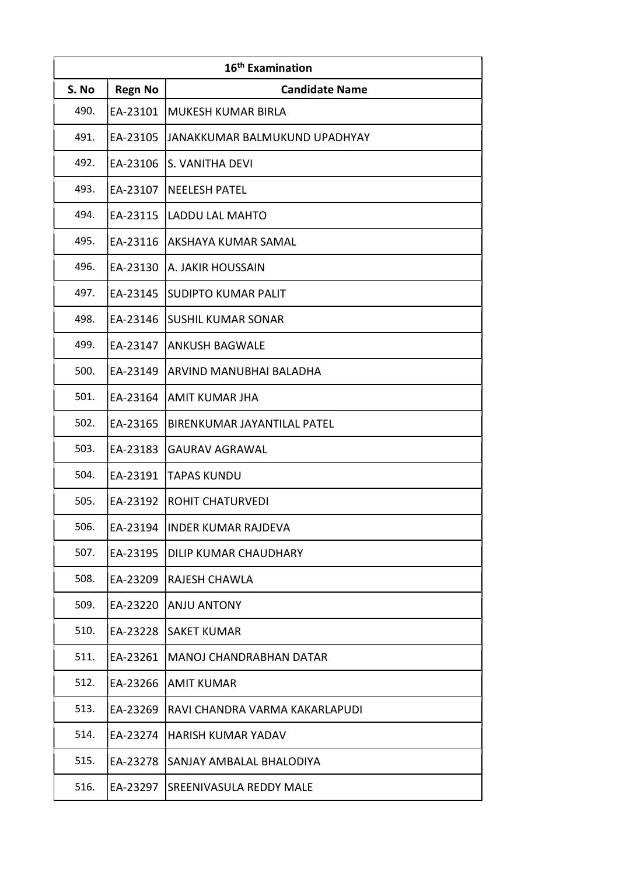| 16 <sup>th</sup> Examination |                |                                |
|------------------------------|----------------|--------------------------------|
| S. No                        | <b>Regn No</b> | <b>Candidate Name</b>          |
| 490.                         | EA-23101       | <b>MUKESH KUMAR BIRLA</b>      |
| 491.                         | EA-23105       | JANAKKUMAR BALMUKUND UPADHYAY  |
| 492.                         | EA-23106       | S. VANITHA DEVI                |
| 493.                         | EA-23107       | <b>NEELESH PATEL</b>           |
| 494.                         | EA-23115       | LADDU LAL MAHTO                |
| 495.                         | EA-23116       | AKSHAYA KUMAR SAMAL            |
| 496.                         | EA-23130       | A. JAKIR HOUSSAIN              |
| 497.                         | EA-23145       | <b>SUDIPTO KUMAR PALIT</b>     |
| 498.                         | EA-23146       | <b>SUSHIL KUMAR SONAR</b>      |
| 499.                         | EA-23147       | <b>ANKUSH BAGWALE</b>          |
| 500.                         | EA-23149       | ARVIND MANUBHAI BALADHA        |
| 501.                         | EA-23164       | <b>AMIT KUMAR JHA</b>          |
| 502.                         | EA-23165       | BIRENKUMAR JAYANTILAL PATEL    |
| 503.                         | EA-23183       | <b>GAURAV AGRAWAL</b>          |
| 504.                         | EA-23191       | TAPAS KUNDU                    |
| 505.                         | EA-23192       | <b>ROHIT CHATURVEDI</b>        |
| 506.                         | EA-23194       | IINDER KUMAR RAJDEVA           |
| 507.                         | EA-23195       | DILIP KUMAR CHAUDHARY          |
| 508.                         | EA-23209       | <b>RAJESH CHAWLA</b>           |
| 509.                         | EA-23220       | <b>ANJU ANTONY</b>             |
| 510.                         | EA-23228       | <b>SAKET KUMAR</b>             |
| 511.                         | EA-23261       | MANOJ CHANDRABHAN DATAR        |
| 512.                         | EA-23266       | <b>AMIT KUMAR</b>              |
| 513.                         | EA-23269       | RAVI CHANDRA VARMA KAKARLAPUDI |
| 514.                         | EA-23274       | <b>HARISH KUMAR YADAV</b>      |
| 515.                         | EA-23278       | SANJAY AMBALAL BHALODIYA       |
| 516.                         | EA-23297       | <b>SREENIVASULA REDDY MALE</b> |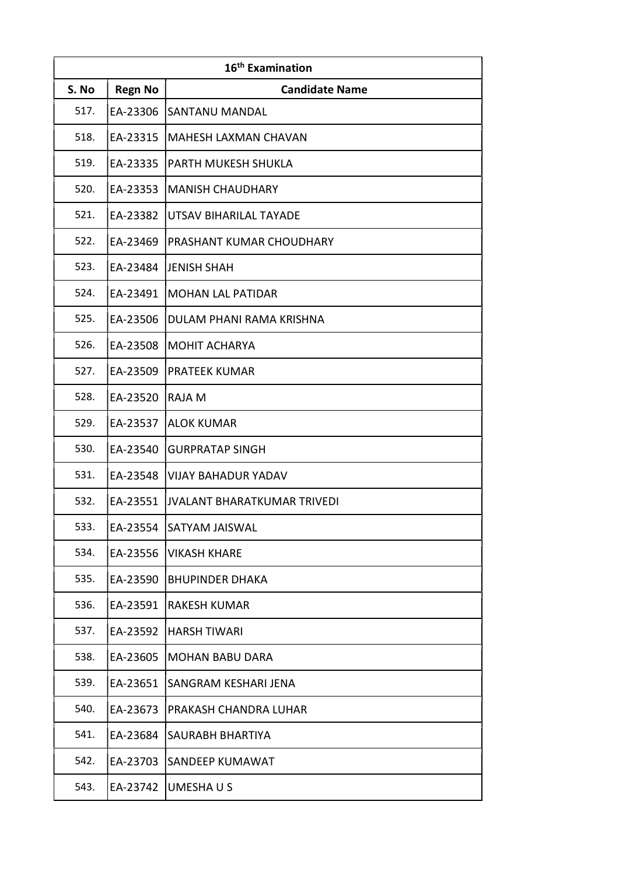| 16 <sup>th</sup> Examination |                |                                    |
|------------------------------|----------------|------------------------------------|
| S. No                        | <b>Regn No</b> | <b>Candidate Name</b>              |
| 517.                         | EA-23306       | <b>SANTANU MANDAL</b>              |
| 518.                         | EA-23315       | MAHESH LAXMAN CHAVAN               |
| 519.                         | EA-23335       | PARTH MUKESH SHUKLA                |
| 520.                         | EA-23353       | <b>MANISH CHAUDHARY</b>            |
| 521.                         | EA-23382       | UTSAV BIHARILAL TAYADE             |
| 522.                         | EA-23469       | <b>PRASHANT KUMAR CHOUDHARY</b>    |
| 523.                         | EA-23484       | <b>JENISH SHAH</b>                 |
| 524.                         | EA-23491       | <b>MOHAN LAL PATIDAR</b>           |
| 525.                         | EA-23506       | DULAM PHANI RAMA KRISHNA           |
| 526.                         | EA-23508       | <b>MOHIT ACHARYA</b>               |
| 527.                         | EA-23509       | <b>PRATEEK KUMAR</b>               |
| 528.                         | EA-23520       | RAJA M                             |
| 529.                         | EA-23537       | <b>ALOK KUMAR</b>                  |
| 530.                         | EA-23540       | <b>GURPRATAP SINGH</b>             |
| 531.                         | EA-23548       | <b>VIJAY BAHADUR YADAV</b>         |
| 532.                         | EA-23551       | <b>JVALANT BHARATKUMAR TRIVEDI</b> |
| 533.                         | EA-23554       | SATYAM JAISWAL                     |
| 534.                         | EA-23556       | <b>VIKASH KHARE</b>                |
| 535.                         | EA-23590       | <b>BHUPINDER DHAKA</b>             |
| 536.                         | EA-23591       | <b>RAKESH KUMAR</b>                |
| 537.                         | EA-23592       | <b>HARSH TIWARI</b>                |
| 538.                         | EA-23605       | <b>MOHAN BABU DARA</b>             |
| 539.                         | EA-23651       | SANGRAM KESHARI JENA               |
| 540.                         | EA-23673       | PRAKASH CHANDRA LUHAR              |
| 541.                         | EA-23684       | <b>SAURABH BHARTIYA</b>            |
| 542.                         | EA-23703       | SANDEEP KUMAWAT                    |
| 543.                         | EA-23742       | UMESHAUS                           |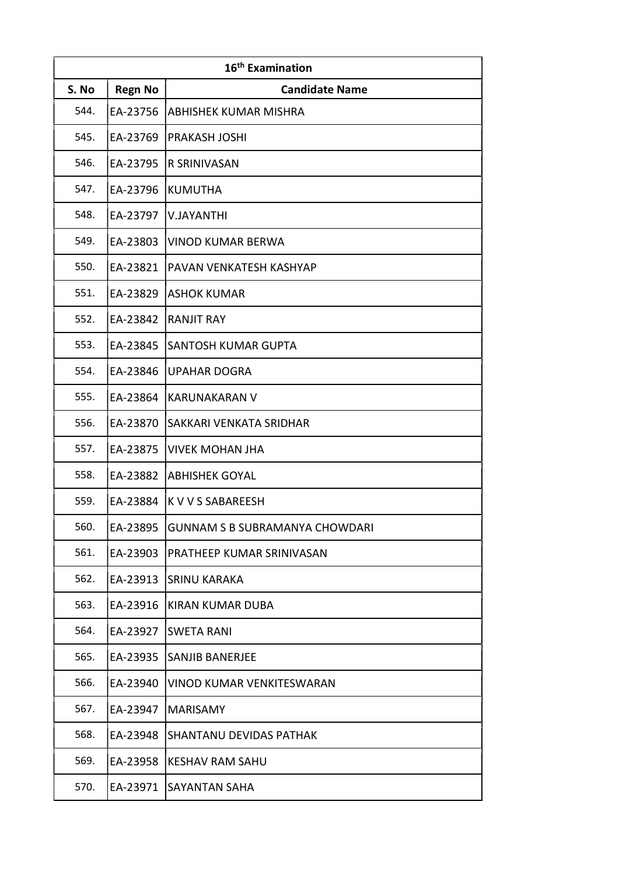| 16 <sup>th</sup> Examination |                |                                       |
|------------------------------|----------------|---------------------------------------|
| S. No                        | <b>Regn No</b> | <b>Candidate Name</b>                 |
| 544.                         | EA-23756       | ABHISHEK KUMAR MISHRA                 |
| 545.                         | EA-23769       | <b>PRAKASH JOSHI</b>                  |
| 546.                         | EA-23795       | R SRINIVASAN                          |
| 547.                         | EA-23796       | <b>KUMUTHA</b>                        |
| 548.                         | EA-23797       | <b>V.JAYANTHI</b>                     |
| 549.                         | EA-23803       | <b>VINOD KUMAR BERWA</b>              |
| 550.                         | EA-23821       | PAVAN VENKATESH KASHYAP               |
| 551.                         | EA-23829       | <b>ASHOK KUMAR</b>                    |
| 552.                         | EA-23842       | <b>RANJIT RAY</b>                     |
| 553.                         | EA-23845       | <b>SANTOSH KUMAR GUPTA</b>            |
| 554.                         | EA-23846       | <b>UPAHAR DOGRA</b>                   |
| 555.                         | EA-23864       | <b>KARUNAKARAN V</b>                  |
| 556.                         | EA-23870       | SAKKARI VENKATA SRIDHAR               |
| 557.                         | EA-23875       | <b>VIVEK MOHAN JHA</b>                |
| 558.                         | EA-23882       | <b>ABHISHEK GOYAL</b>                 |
| 559.                         | EA-23884       | <b>K V V S SABAREESH</b>              |
| 560.                         | EA-23895       | <b>GUNNAM S B SUBRAMANYA CHOWDARI</b> |
| 561.                         | EA-23903       | <b>PRATHEEP KUMAR SRINIVASAN</b>      |
| 562.                         | EA-23913       | <b>SRINU KARAKA</b>                   |
| 563.                         | EA-23916       | KIRAN KUMAR DUBA                      |
| 564.                         | EA-23927       | <b>SWETA RANI</b>                     |
| 565.                         | EA-23935       | <b>SANJIB BANERJEE</b>                |
| 566.                         | EA-23940       | <b>VINOD KUMAR VENKITESWARAN</b>      |
| 567.                         | EA-23947       | <b>MARISAMY</b>                       |
| 568.                         | EA-23948       | SHANTANU DEVIDAS PATHAK               |
| 569.                         | EA-23958       | <b>KESHAV RAM SAHU</b>                |
| 570.                         | EA-23971       | <b>SAYANTAN SAHA</b>                  |